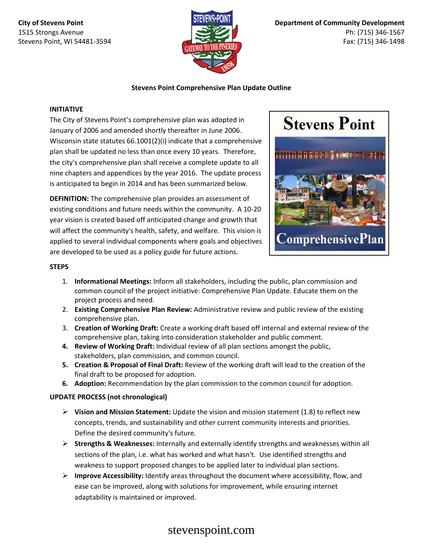**City of Stevens Point** 1515 Strongs Avenue Stevens Point, WI 54481-3594



### **Stevens Point Comprehensive Plan Update Outline**

#### **INITIATIVE**

The City of Stevens Point's comprehensive plan was adopted in January of 2006 and amended shortly thereafter in June 2006. Wisconsin state statutes 66.1001(2)(i) indicate that a comprehensive plan shall be updated no less than once every 10 years. Therefore, the city's comprehensive plan shall receive a complete update to all nine chapters and appendices by the year 2016. The update process is anticipated to begin in 2014 and has been summarized below.

**DEFINITION:** The comprehensive plan provides an assessment of existing conditions and future needs within the community. A 10-20 year vision is created based off anticipated change and growth that will affect the community's health, safety, and welfare. This vision is applied to several individual components where goals and objectives are developed to be used as a policy guide for future actions.



### **STEPS**

- 1. **Informational Meetings:** Inform all stakeholders, including the public, plan commission and common council of the project initiative: Comprehensive Plan Update. Educate them on the project process and need.
- 2. **Existing Comprehensive Plan Review:** Administrative review and public review of the existing comprehensive plan.
- 3. **Creation of Working Draft:** Create a working draft based off internal and external review of the comprehensive plan, taking into consideration stakeholder and public comment.
- **4. Review of Working Draft:** Individual review of all plan sections amongst the public, stakeholders, plan commission, and common council.
- **5. Creation & Proposal of Final Draft:** Review of the working draft will lead to the creation of the final draft to be proposed for adoption.
- **6. Adoption:** Recommendation by the plan commission to the common council for adoption.

### **UPDATE PROCESS (not chronological)**

- **Vision and Mission Statement:** Update the vision and mission statement (1.8) to reflect new concepts, trends, and sustainability and other current community interests and priorities. Define the desired community's future.
- **Strengths & Weaknesses:** Internally and externally identify strengths and weaknesses within all sections of the plan, i.e. what has worked and what hasn't. Use identified strengths and weakness to support proposed changes to be applied later to individual plan sections.
- **Improve Accessibility:** Identify areas throughout the document where accessibility, flow, and ease can be improved, along with solutions for improvement, while ensuring internet adaptability is maintained or improved.

# stevenspoint.com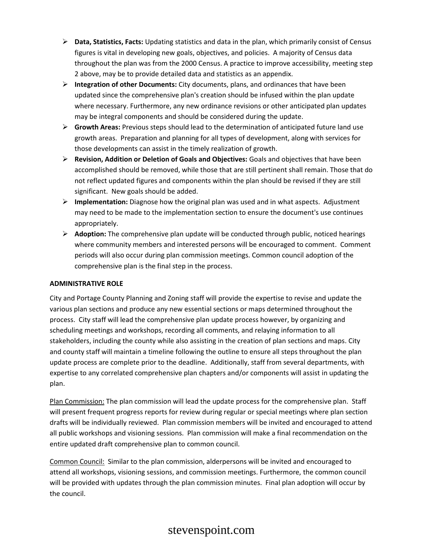- **Data, Statistics, Facts:** Updating statistics and data in the plan, which primarily consist of Census figures is vital in developing new goals, objectives, and policies. A majority of Census data throughout the plan was from the 2000 Census. A practice to improve accessibility, meeting step 2 above, may be to provide detailed data and statistics as an appendix.
- **Integration of other Documents:** City documents, plans, and ordinances that have been updated since the comprehensive plan's creation should be infused within the plan update where necessary. Furthermore, any new ordinance revisions or other anticipated plan updates may be integral components and should be considered during the update.
- **Growth Areas:** Previous steps should lead to the determination of anticipated future land use growth areas. Preparation and planning for all types of development, along with services for those developments can assist in the timely realization of growth.
- **Revision, Addition or Deletion of Goals and Objectives:** Goals and objectives that have been accomplished should be removed, while those that are still pertinent shall remain. Those that do not reflect updated figures and components within the plan should be revised if they are still significant. New goals should be added.
- **Implementation:** Diagnose how the original plan was used and in what aspects. Adjustment may need to be made to the implementation section to ensure the document's use continues appropriately.
- **Adoption:** The comprehensive plan update will be conducted through public, noticed hearings where community members and interested persons will be encouraged to comment. Comment periods will also occur during plan commission meetings. Common council adoption of the comprehensive plan is the final step in the process.

### **ADMINISTRATIVE ROLE**

City and Portage County Planning and Zoning staff will provide the expertise to revise and update the various plan sections and produce any new essential sections or maps determined throughout the process. City staff will lead the comprehensive plan update process however, by organizing and scheduling meetings and workshops, recording all comments, and relaying information to all stakeholders, including the county while also assisting in the creation of plan sections and maps. City and county staff will maintain a timeline following the outline to ensure all steps throughout the plan update process are complete prior to the deadline. Additionally, staff from several departments, with expertise to any correlated comprehensive plan chapters and/or components will assist in updating the plan.

Plan Commission: The plan commission will lead the update process for the comprehensive plan. Staff will present frequent progress reports for review during regular or special meetings where plan section drafts will be individually reviewed. Plan commission members will be invited and encouraged to attend all public workshops and visioning sessions. Plan commission will make a final recommendation on the entire updated draft comprehensive plan to common council.

Common Council: Similar to the plan commission, alderpersons will be invited and encouraged to attend all workshops, visioning sessions, and commission meetings. Furthermore, the common council will be provided with updates through the plan commission minutes. Final plan adoption will occur by the council.

# stevenspoint.com